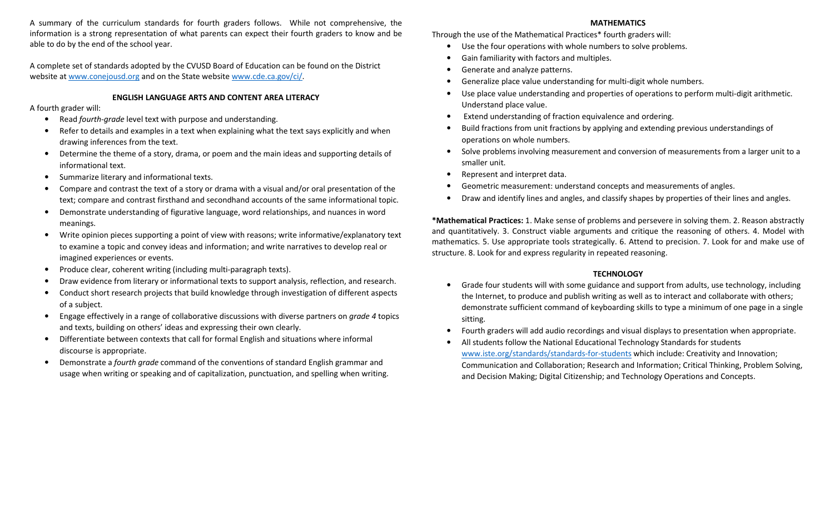A summary of the curriculum standards for fourth graders follows. While not comprehensive, the information is a strong representation of what parents can expect their fourth graders to know and be able to do by the end of the school year.

A complete set of standards adopted by the CVUSD Board of Education can be found on the District website at www.conejousd.org and on the State website www.cde.ca.gov/ci/.

### ENGLISH LANGUAGE ARTS AND CONTENT AREA LITERACY

A fourth grader will:

- $\bullet$ Read fourth-grade level text with purpose and understanding.
- • Refer to details and examples in a text when explaining what the text says explicitly and when drawing inferences from the text.
- $\bullet$  Determine the theme of a story, drama, or poem and the main ideas and supporting details of informational text.
- •Summarize literary and informational texts.
- • Compare and contrast the text of a story or drama with a visual and/or oral presentation of the text; compare and contrast firsthand and secondhand accounts of the same informational topic.
- • Demonstrate understanding of figurative language, word relationships, and nuances in word meanings.
- $\bullet$  Write opinion pieces supporting a point of view with reasons; write informative/explanatory text to examine a topic and convey ideas and information; and write narratives to develop real or imagined experiences or events.
- •Produce clear, coherent writing (including multi-paragraph texts).
- •Draw evidence from literary or informational texts to support analysis, reflection, and research.
- • Conduct short research projects that build knowledge through investigation of different aspects of a subject.
- $\bullet$ Engage effectively in a range of collaborative discussions with diverse partners on *grade 4* topics and texts, building on others' ideas and expressing their own clearly.
- • Differentiate between contexts that call for formal English and situations where informal discourse is appropriate.
- •Demonstrate a *fourth grade* command of the conventions of standard English grammar and usage when writing or speaking and of capitalization, punctuation, and spelling when writing.

### MATHEMATICS

Through the use of the Mathematical Practices\* fourth graders will:

- $\bullet$ Use the four operations with whole numbers to solve problems.
- •Gain familiarity with factors and multiples.
- •Generate and analyze patterns.
- •Generalize place value understanding for multi-digit whole numbers.
- • Use place value understanding and properties of operations to perform multi-digit arithmetic. Understand place value.
- Extend understanding of fraction equivalence and ordering.
- • Build fractions from unit fractions by applying and extending previous understandings of operations on whole numbers.
- Solve problems involving measurement and conversion of measurements from a larger unit to a smaller unit.
- •Represent and interpret data.
- •Geometric measurement: understand concepts and measurements of angles.
- •Draw and identify lines and angles, and classify shapes by properties of their lines and angles.

\*Mathematical Practices: 1. Make sense of problems and persevere in solving them. 2. Reason abstractly and quantitatively. 3. Construct viable arguments and critique the reasoning of others. 4. Model with mathematics. 5. Use appropriate tools strategically. 6. Attend to precision. 7. Look for and make use of structure. 8. Look for and express regularity in repeated reasoning.

# **TECHNOLOGY**

- • Grade four students will with some guidance and support from adults, use technology, including the Internet, to produce and publish writing as well as to interact and collaborate with others; demonstrate sufficient command of keyboarding skills to type a minimum of one page in a single sitting.
- •Fourth graders will add audio recordings and visual displays to presentation when appropriate.
- • All students follow the National Educational Technology Standards for students www.iste.org/standards/standards-for-students which include: Creativity and Innovation; Communication and Collaboration; Research and Information; Critical Thinking, Problem Solving, and Decision Making; Digital Citizenship; and Technology Operations and Concepts.